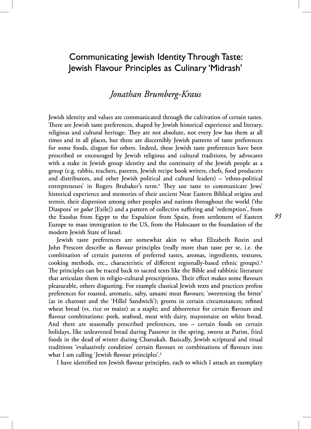# Communicating Jewish Identity Through Taste: Jewish Flavour Principles as Culinary 'Midrash'

# Jonathan Brumberg-Kraus

Jewish identity and values are communicated through the cultivation of certain tastes. There are Jewish taste preferences, shaped by Jewish historical experience and literary, religious and cultural heritage. They are not absolute, not every Jew has them at all times and in all places, but there are discernibly Jewish patterns of taste preferences for some foods, disgust for others. Indeed, these Jewish taste preferences have been prescribed or encouraged by Jewish religious and cultural traditions, by advocates with a stake in Jewish group identity and the continuity of the Jewish people as a group (e.g. rabbis, teachers, parents, Jewish recipe book writers, chefs, food producers and distributors, and other Jewish political and cultural leaders) – 'ethno-political entrepreneurs' in Rogers Brubaker's term.<sup>1</sup> They use taste to communicate Jews' historical experience and memories of their ancient Near Eastern Biblical origins and terroir, their dispersion among other peoples and nations throughout the world ('the Diaspora' or galut [Exile]) and a pattern of collective suffering and 'redemption', from the Exodus from Egypt to the Expulsion from Spain, from settlement of Eastern Europe to mass immigration to the US, from the Holocaust to the foundation of the modern Jewish State of Israel.

Jewish taste preferences are somewhat akin to what Elizabeth Rozin and John Prescott describe as flavour principles (really more than taste per se, i.e. the combination of certain patterns of preferred tastes, aromas, ingredients, textures, cooking methods, etc., characteristic of different regionally-based ethnic groups).<sup>2</sup> The principles can be traced back to sacred texts like the Bible and rabbinic literature that articulate them in religio-cultural prescriptions. Their effect makes some flavours pleasurable, others disgusting. For example classical Jewish texts and practices profess preferences for roasted, aromatic, salty, umami meat flavours; 'sweetening the bitter' (as in charoset and the 'Hillel Sandwich'); greens in certain circumstances; refined wheat bread (vs. rice or maize) as a staple; and abhorrence for certain flavours and flavour combinations: pork, seafood, meat with dairy, mayonnaise on white bread. And there are seasonally prescribed preferences, too – certain foods on certain holidays, like unleavened bread during Passover in the spring, sweets at Purim, fried foods in the dead of winter during Chanukah. Basically, Jewish scriptural and ritual traditions 'evaluatively condition' certain flavours or combinations of flavours into what I am calling 'Jewish flavour principles'.<sup>3</sup>

I have identified ten Jewish flavour principles, each to which I attach an exemplary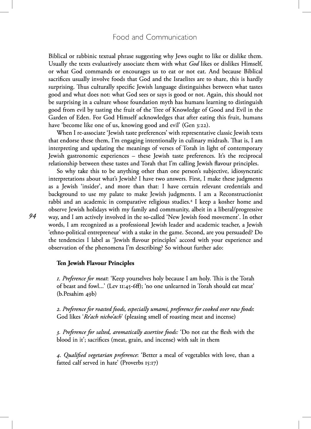Biblical or rabbinic textual phrase suggesting why Jews ought to like or dislike them. Usually the texts evaluatively associate them with what God likes or dislikes Himself, or what God commands or encourages us to eat or not eat. And because Biblical sacrifices usually involve foods that God and the Israelites are to share, this is hardly surprising. Thus culturally specific Jewish language distinguishes between what tastes good and what does not: what God sees or says is good or not. Again, this should not be surprising in a culture whose foundation myth has humans learning to distinguish good from evil by tasting the fruit of the Tree of Knowledge of Good and Evil in the Garden of Eden. For God Himself acknowledges that after eating this fruit, humans have 'become like one of us, knowing good and evil' (Gen 3:22).

When <sup>I</sup> re-associate 'Jewish taste preferences' with representative classic Jewish texts that endorse these them, I'm engaging intentionally in culinary midrash. That is, <sup>I</sup> am interpreting and updating the meanings of verses of Torah in light of contemporary Jewish gastronomic experiences – these Jewish taste preferences. It's the reciprocal relationship between these tastes and Torah that I'm calling Jewish flavour principles.

So why take this to be anything other than one person's subjective, idiosyncratic interpretations about what's Jewish? I have two answers. First, I make these judgments as a Jewish 'insider', and more than that: I have certain relevant credentials and background to use my palate to make Jewish judgments. <sup>I</sup> am a Reconstructionist rabbi and an academic in comparative religious studies.4 <sup>I</sup> keep a kosher home and observe Jewish holidays with my family and community, albeit in a liberal/progressive way, and <sup>I</sup> am actively involved in the so-called 'New Jewish food movement'. In other words, <sup>I</sup> am recognized as a professional Jewish leader and academic teacher, a Jewish 'ethno-political entrepreneur' with <sup>a</sup> stake in the game. Second, are you persuaded? Do the tendencies I label as 'Jewish flavour principles' accord with your experience and observation of the phenomena I'm describing? So without further ado:

#### Ten Jewish Flavour Principles

1. Preference for meat: 'Keep yourselves holy because I am holy. This is the Torah of beast and fowl...' (Lev 11:45-6ff); 'no one unlearned in Torah should eat meat' (b.Pesahim 49b)

2. Preference for roasted foods, especially umami, preference for cooked over raw foods: God likes 'Re'ach nicho'ach' (pleasing smell of roasting meat and incense)

3. Preference for salted, aromatically assertive foods: 'Do not eat the flesh with the blood in it'; sacrifices (meat, grain, and incense) with salt in them

4. Qualified vegetarian preference: 'Better a meal of vegetables with love, than a fatted calf served in hate' (Proverbs 15:17)

p4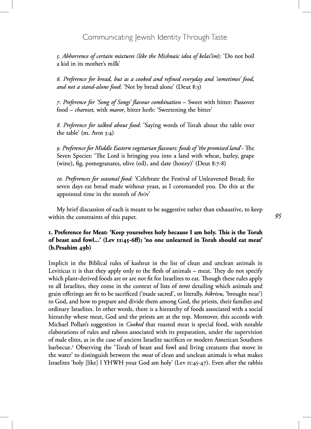5. Abhorrence of certain mixtures (like the Mishnaic idea of kelai'im): 'Do not boil a kid in its mother's milk'

6. Preference for bread, but as a cooked and refined everyday and 'sometimes' food, and not a stand-alone food: 'Not by bread alone' (Deut 8:3)

7. Preference for 'Song of Songs' flavour combination – Sweet with bitter: Passover food – charoset, with maror, bitter herb: 'Sweetening the bitter'

8. Preference for talked about food: 'Saying words of Torah about the table over the table' (m. Avot 3:4)

9. Preference for Middle Eastern vegetarian flavours: foods of 'the promised land'- The Seven Species: 'The Lord is bringing you into a land with wheat, barley, grape (wine), fig, pomegranates, olive (oil), and date (honey)' (Deut 8:7-8)

10. Preferences for seasonal food: 'Celebrate the Festival of Unleavened Bread; for seven days eat bread made without yeast, as <sup>I</sup> commanded you. Do this at the appointed time in the month of Aviv'

My brief discussion of each is meant to be suggestive rather than exhaustive, to keep within the constraints of this paper.

### 1. Preference for Meat: 'Keep yourselves holy because <sup>I</sup> am holy. This is the Torah of beast and fowl...' (Lev 11:45-6ff); 'no one unlearned in Torah should eat meat' (b.Pesahim 49b)

Implicit in the Biblical rules of kashrut in the list of clean and unclean animals in Leviticus <sup>11</sup> is that they apply only to the flesh of animals – meat. They do not specify which plant-derived foods are or are not fit for Israelites to eat. Though these rules apply to all Israelites, they come in the context of lists of torot detailing which animals and grain offerings are fit to be sacrificed ('made sacred', or literally, *hikrivu*, 'brought near') to God, and how to prepare and divide them among God, the priests, their families and ordinary Israelites. In other words, there is a hierarchy of foods associated with a social hierarchy where meat, God and the priests are at the top. Moreover, this accords with Michael Pollan's suggestion in Cooked that roasted meat is special food, with notable elaborations of rules and taboos associated with its preparation, under the supervision of male elites, as in the case of ancient Israelite sacrifices or modern American Southern barbecue.5 Observing the 'Torah of beast and fowl and living creatures that move in the water' to distinguish between the *meat* of clean and unclean animals is what makes Israelites 'holy [like] IYHWH your God am holy' (Lev 11:45-47). Even after the rabbis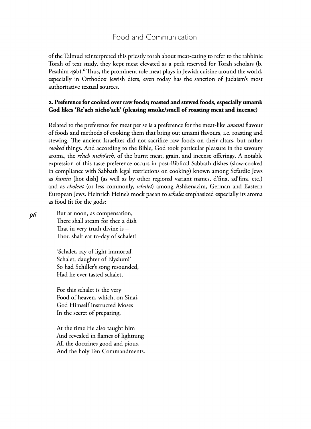of the Talmud reinterpreted this priestly torah about meat-eating to refer to the rabbinic Torah of text study, they kept meat elevated as a perk reserved for Torah scholars (b. Pesahim 49b).<sup>6</sup> Thus, the prominent role meat plays in Jewish cuisine around the world, especially in Orthodox Jewish diets, even today has the sanction of Judaism's most authoritative textual sources.

#### 2. Preference for cooked over raw foods; roasted and stewed foods, especially umami: God likes 'Re'ach nicho'ach' (pleasing smoke/smell of roasting meat and incense)

Related to the preference for meat per se is a preference for the meat-like umami flavour of foods and methods of cooking them that bring out umami flavours, i.e. roasting and stewing. The ancient Israelites did not sacrifice raw foods on their altars, but rather cooked things. And according to the Bible, God took particular pleasure in the savoury aroma, the re'ach nicho'ach, of the burnt meat, grain, and incense offerings. A notable expression of this taste preference occurs in post-Biblical Sabbath dishes (slow-cooked in compliance with Sabbath legal restrictions on cooking) known among Sefardic Jews as hamin [hot dish] (as well as by other regional variant names, d'fina, ad'fina, etc.) and as *cholent* (or less commonly, *schalet*) among Ashkenazim, German and Eastern European Jews. Heinrich Heine's mock paean to schalet emphasized especially its aroma as food fit for the gods:

But at noon, as compensation, There shall steam for thee a dish That in very truth divine is – Thou shalt eat to-day of schalet!

p6

'Schalet, ray of light immortal! Schalet, daughter of Elysium!' So had Schiller's song resounded, Had he ever tasted schalet,

For this schalet is the very Food of heaven, which, on Sinai, God Himself instructed Moses In the secret of preparing,

At the time He also taught him And revealed in flames of lightning All the doctrines good and pious, And the holy Ten Commandments.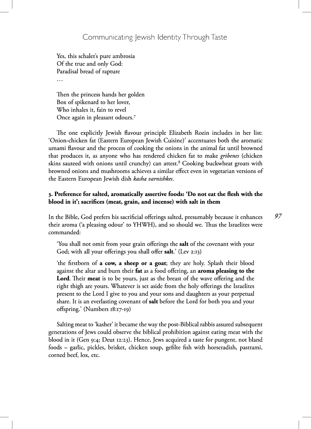Yes, this schalet's pure ambrosia Of the true and only God: Paradisal bread of rapture …

Then the princess hands her golden Box of spikenard to her lover, Who inhales it, fain to revel Once again in pleasant odours.7

The one explicitly Jewish flavour principle Elizabeth Rozin includes in her list: 'Onion-chicken fat (Eastern European Jewish Cuisine)' accentuates both the aromatic umami flavour and the process of cooking the onions in the animal fat until browned that produces it, as anyone who has rendered chicken fat to make gribenes (chicken skins sauteed with onions until crunchy) can attest.<sup>8</sup> Cooking buckwheat groats with browned onions and mushrooms achieves a similar effect even in vegetarian versions of the Eastern European Jewish dish kasha varnishkes.

#### 3. Preference for salted, aromatically assertive foods: 'Do not eat the flesh with the blood in it'; sacrifices (meat, grain, and incense) with salt in them

In the Bible, God prefers his sacrificial offerings salted, presumably because it enhances their aroma ('a pleasing odour' to YHWH), and so should we. Thus the Israelites were commanded:

'You shall not omit from your grain offerings the salt of the covenant with your God; with all your offerings you shall offer salt.' (Lev 2:13)

'the firstborn of a cow, a sheep or a goat; they are holy. Splash their blood against the altar and burn their fat as a food offering, an aroma pleasing to the Lord. Their meat is to be yours, just as the breast of the wave offering and the right thigh are yours. Whatever is set aside from the holy offerings the Israelites present to the Lord I give to you and your sons and daughters as your perpetual share. It is an everlasting covenant of salt before the Lord for both you and your offspring.' (Numbers 18:17-19)

Salting meat to 'kasher' it became the way the post-Biblical rabbis assured subsequent generations of Jews could observe the biblical prohibition against eating meat with the blood in it (Gen 9:4; Deut 12:23). Hence, Jews acquired a taste for pungent, not bland foods – garlic, pickles, brisket, chicken soup, gefilte fish with horseradish, pastrami, corned beef, lox, etc.

py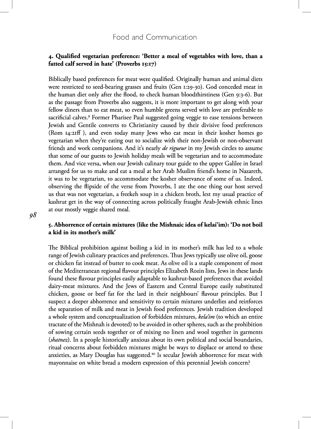#### 4. Qualified vegetarian preference: 'Better a meal of vegetables with love, than a fatted calf served in hate' (Proverbs 15:17)

Biblically based preferences for meat were qualified. Originally human and animal diets were restricted to seed-bearing grasses and fruits (Gen 1:29-30). God conceded meat in the human diet only after the flood, to check human bloodthirstiness (Gen 9:3-6). But as the passage from Proverbs also suggests, it is more important to get along with your fellow diners than to eat meat, so even humble greens served with love are preferable to sacrificial calves.<sup>9</sup> Former Pharisee Paul suggested going veggie to ease tensions between Jewish and Gentile converts to Christianity caused by their divisive food preferences (Rom 14:21ff), and even today many Jews who eat meat in their kosher homes go vegetarian when they're eating out to socialize with their non-Jewish or non-observant friends and work companions. And it's nearly *de rigueur* in my Jewish circles to assume that some of our guests to Jewish holiday meals will be vegetarian and to accommodate them. And vice versa, when our Jewish culinary tour guide to the upper Galilee in Israel arranged for us to make and eat a meal at her Arab Muslim friend's home in Nazareth, it was to be vegetarian, to accommodate the kosher observance of some of us. Indeed, observing the flipside of the verse from Proverbs, I ate the one thing our host served us that was not vegetarian, a freekeh soup in a chicken broth, lest my usual practice of kashrut get in the way of connecting across politically fraught Arab-Jewish ethnic lines at our mostly veggie shared meal.

#### 5. Abhorrence of certain mixtures (like the Mishnaic idea of kelai'im): 'Do not boil a kid in its mother's milk'

The Biblical prohibition against boiling a kid in its mother's milk has led to a whole range of Jewish culinary practices and preferences. Thus Jews typically use olive oil, goose or chicken fat instead of butter to cook meat. As olive oil is a staple component of most of the Mediterranean regional flavour principles Elizabeth Rozin lists, Jews in these lands found these flavour principles easily adaptable to kashrut-based preferences that avoided dairy-meat mixtures. And the Jews of Eastern and Central Europe easily substituted chicken, goose or beef fat for the lard in their neighbours' flavour principles. But I suspect a deeper abhorrence and sensitivity to certain mixtures underlies and reinforces the separation of milk and meat in Jewish food preferences. Jewish tradition developed a whole system and conceptualization of forbidden mixtures, kela'im (to which an entire tractate of the Mishnah is devoted) to be avoided in other spheres, such as the prohibition of sowing certain seeds together or of mixing no linen and wool together in garments (shatnez). In a people historically anxious about its own political and social boundaries, ritual concerns about forbidden mixtures might be ways to displace or attend to these anxieties, as Mary Douglas has suggested.<sup>10</sup> Is secular Jewish abhorrence for meat with mayonnaise on white bread a modern expression of this perennial Jewish concern?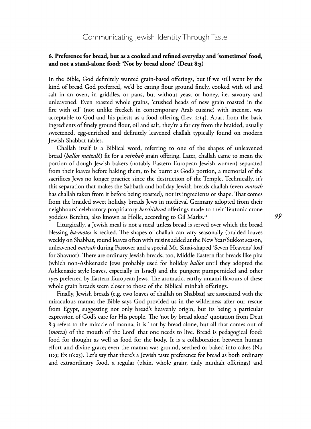#### 6. Preference for bread, but as <sup>a</sup> cooked and refined everyday and 'sometimes' food, and not a stand-alone food: 'Not by bread alone' (Deut 8:3)

In the Bible, God definitely wanted grain-based offerings, but if we still went by the kind of bread God preferred, we'd be eating flour ground finely, cooked with oil and salt in an oven, in griddles, or pans, but without yeast or honey, i.e. savoury and unleavened. Even roasted whole grains, 'crushed heads of new grain roasted in the fire with oil' (not unlike freekeh in contemporary Arab cuisine) with incense, was acceptable to God and his priests as a food offering (Lev. 2:14). Apart from the basic ingredients of finely ground flour, oil and salt, they're a far cry from the braided, usually sweetened, egg-enriched and definitely leavened challah typically found on modern Jewish Shabbat tables.

Challah itself is a Biblical word, referring to one of the shapes of unleavened bread (hallot matzah!) fit for a minhah grain offering. Later, challah came to mean the portion of dough Jewish bakers (notably Eastern European Jewish women) separated from their loaves before baking them, to be burnt as God's portion, a memorial of the sacrifices Jews no longer practice since the destruction of the Temple. Technically, it's this separation that makes the Sabbath and holiday Jewish breads challah (even *matzah* has challah taken from it before being roasted), not its ingredients or shape. That comes from the braided sweet holiday breads Jews in medieval Germany adopted from their neighbours' celebratory propitiatory *berchisbrod* offerings made to their Teutonic crone goddess Berchta, also known as Holle, according to Gil Marks.<sup>11</sup>

Liturgically, a Jewish meal is not a meal unless bread is served over which the bread blessing ha-motzi is recited. The shapes of challah can vary seasonally (braided loaves weekly on Shabbat, round loaves often with raisins added at the NewYear/Sukkot season, unleavened *matzah* during Passover and a special Mt. Sinai-shaped 'Seven Heavens' loaf for Shavuot). There are ordinary Jewish breads, too, Middle Eastern flat breads like pita (which non-Ashkenazic Jews probably used for holiday *hallot* until they adopted the Ashkenazic style loaves, especially in Israel) and the pungent pumpernickel and other ryes preferred by Eastern European Jews. The aromatic, earthy umami flavours of these whole grain breads seem closer to those of the Biblical minhah offerings.

Finally, Jewish breads (e.g. two loaves of challah on Shabbat) are associated with the miraculous manna the Bible says God provided us in the wilderness after our rescue from Egypt, suggesting not only bread's heavenly origin, but its being a particular expression of God's care for His people. The 'not by bread alone' quotation from Deut 8:3 refers to the miracle of manna; it is 'not by bread alone, but all that comes out of (*motza*) of the mouth of the Lord' that one needs to live. Bread is pedagogical food: food for thought as well as food for the body. It is a collaboration between human effort and divine grace; even the manna was ground, seethed or baked into cakes (Nu 11:9; Ex 16:23). Let's say that there's a Jewish taste preference for bread as both ordinary and extraordinary food, a regular (plain, whole grain; daily minhah offerings) and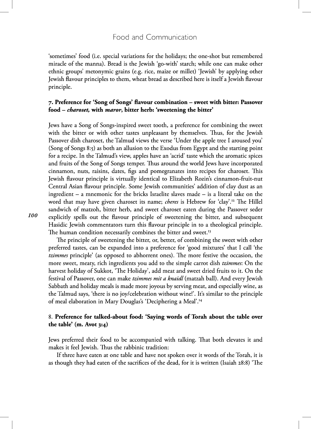'sometimes' food (i.e. special variations for the holidays; the one-shot but remembered miracle of the manna). Bread is the Jewish 'go-with' starch; while one can make other ethnic groups' metonymic grains (e.g. rice, maize or millet) 'Jewish' by applying other Jewish flavour principles to them, wheat bread as described here is itself a Jewish flavour principle.

#### 7. Preference for 'Song of Songs' flavour combination – sweet with bitter: Passover food – charoset, with maror, bitter herb: 'sweetening the bitter'

Jews have a Song of Songs-inspired sweet tooth, a preference for combining the sweet with the bitter or with other tastes unpleasant by themselves. Thus, for the Jewish Passover dish charoset, the Talmud views the verse 'Under the apple tree I aroused you' (Song of Songs 8:5) as both an allusion to the Exodus from Egypt and the starting point for a recipe. In the Talmud's view, apples have an 'acrid' taste which the aromatic spices and fruits of the Song of Songs temper. Thus around the world Jews have incorporated cinnamon, nuts, raisins, dates, figs and pomegranates into recipes for charoset. This Jewish flavour principle is virtually identical to Elizabeth Rozin's cinnamon-fruit-nut Central Asian flavour principle. Some Jewish communities' addition of clay dust as an ingredient – a mnemonic for the bricks Israelite slaves made – is a literal take on the word that may have given charoset its name; *cheres* is Hebrew for 'clay'.<sup>12</sup> The Hillel sandwich of matzoh, bitter herb, and sweet charoset eaten during the Passover seder explicitly spells out the flavour principle of sweetening the bitter, and subsequent Hasidic Jewish commentators turn this flavour principle in to a theological principle. The human condition necessarily combines the bitter and sweet.<sup>13</sup>

100

The principle of sweetening the bitter, or, better, of combining the sweet with other preferred tastes, can be expanded into a preference for 'good mixtures' that I call 'the tzimmes principle' (as opposed to abhorrent ones). The more festive the occasion, the more sweet, meaty, rich ingredients you add to the simple carrot dish tzimmes: On the harvest holiday of Sukkot, 'The Holiday', add meat and sweet dried fruits to it. On the festival of Passover, one can make tzimmes mit a knaidl (matzah ball). And every Jewish Sabbath and holiday meals is made more joyous by serving meat, and especially wine, as the Talmud says, 'there is no joy/celebration without wine!'. It's similar to the principle of meal elaboration in Mary Douglas's 'Deciphering a Meal'.14

#### 8. Preference for talked-about food: 'Saying words of Torah about the table over the table' (m. Avot 3:4)

Jews preferred their food to be accompanied with talking. That both elevates it and makes it feel Jewish. Thus the rabbinic tradition:

If three have eaten at one table and have not spoken over it words of the Torah, it is as though they had eaten of the sacrifices of the dead, for it is written (Isaiah 28:8) 'The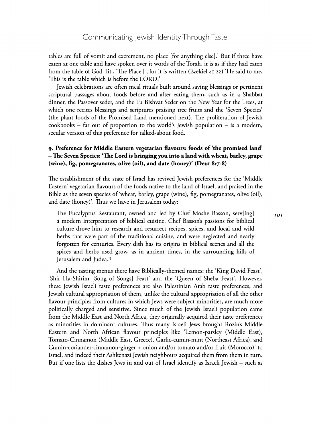tables are full of vomit and excrement, no place [for anything else].' But if three have eaten at one table and have spoken over it words of the Torah, it is as if they had eaten from the table of God [lit., 'The Place'], for it is written (Ezekiel 41.22) 'He said to me, 'This is the table which is before the LORD.'

Jewish celebrations are often meal rituals built around saying blessings or pertinent scriptural passages about foods before and after eating them, such as in a Shabbat dinner, the Passover seder, and the Tu Bishvat Seder on the New Year for the Trees, at which one recites blessings and scriptures praising tree fruits and the 'Seven Species' (the plant foods of the Promised Land mentioned next). The proliferation of Jewish cookbooks – far out of proportion to the world's Jewish population – is a modern, secular version of this preference for talked-about food.

#### 9. Preference for Middle Eastern vegetarian flavours: foods of 'the promised land' – The Seven Species: 'The Lord is bringing you into a land with wheat, barley, grape (wine), fig, pomegranates, olive (oil), and date (honey)' (Deut 8:7-8)

The establishment of the state of Israel has revived Jewish preferences for the 'Middle Eastern' vegetarian flavours of the foods native to the land of Israel, and praised in the Bible as the seven species of 'wheat, barley, grape (wine), fig, pomegranates, olive (oil), and date (honey)'. Thus we have in Jerusalem today:

The Eucalyptus Restaurant, owned and led by Chef Moshe Basson, serv[ing] a modern interpretation of biblical cuisine. Chef Basson's passions for biblical culture drove him to research and resurrect recipes, spices, and local and wild herbs that were part of the traditional cuisine, and were neglected and nearly forgotten for centuries. Every dish has its origins in biblical scenes and all the spices and herbs used grow, as in ancient times, in the surrounding hills of Jerusalem and Judea.<sup>15</sup>

And the tasting menus there have Biblically-themed names: the 'King David Feast', 'Shir Ha-Shirim [Song of Songs] Feast' and the 'Queen of Sheba Feast'. However, these Jewish Israeli taste preferences are also Palestinian Arab taste preferences, and Jewish cultural appropriation of them, unlike the cultural appropriation of all the other flavour principles from cultures in which Jews were subject minorities, are much more politically charged and sensitive. Since much of the Jewish Israeli population came from the Middle East and North Africa, they originally acquired their taste preferences as minorities in dominant cultures. Thus many Israeli Jews brought Rozin's Middle Eastern and North African flavour principles like 'Lemon-parsley (Middle East), Tomato-Cinnamon (Middle East, Greece), Garlic-cumin-mint (Northeast Africa), and Cumin-coriander-cinnamon-ginger + onion and/or tomato and/or fruit (Morocco)' to Israel, and indeed their Ashkenazi Jewish neighbours acquired them from them in turn. But if one lists the dishes Jews in and out of Israel identify as Israeli Jewish – such as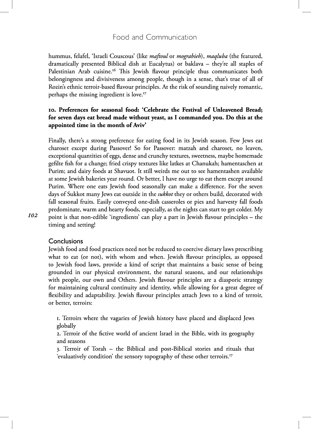hummus, felafel, 'Israeli Couscous' (like maftoul or mograbieh), maqluba (the featured, dramatically presented Biblical dish at Eucalytus) or baklava – they're all staples of Palestinian Arab cuisine.<sup>16</sup> This Jewish flavour principle thus communicates both belongingness and divisiveness among people, though in a sense, that's true of all of Rozin's ethnic terroir-based flavour principles. At the risk of sounding naively romantic, perhaps the missing ingredient is love.17

### 10. Preferences for seasonal food: 'Celebrate the Festival of Unleavened Bread; for seven days eat bread made without yeast, as <sup>I</sup> commanded you. Do this at the appointed time in the month of Aviv'

Finally, there's a strong preference for eating food in its Jewish season. Few Jews eat charoset except during Passover! So for Passover: matzah and charoset, no leaven, exceptional quantities of eggs, dense and crunchy textures, sweetness, maybe homemade gefilte fish for a change; fried crispy textures like latkes at Chanukah; hamentaschen at Purim; and dairy foods at Shavuot. It still weirds me out to see hamentashen available at some Jewish bakeries year round. Or better, <sup>I</sup> have no urge to eat them except around Purim. Where one eats Jewish food seasonally can make a difference. For the seven days of Sukkot many Jews eat outside in the sukkot they or others build, decorated with fall seasonal fruits. Easily conveyed one-dish casseroles or pies and harvesty fall foods predominate, warm and hearty foods, especially, as the nights can start to get colder. My point is that non-edible 'ingredients' can play a part in Jewish flavour principles – the timing and setting!

**Conclusions** 

Jewish food and food practices need not be reduced to coercive dietary laws prescribing what to eat (or not), with whom and when. Jewish flavour principles, as opposed to Jewish food laws, provide a kind of script that maintains a basic sense of being grounded in our physical environment, the natural seasons, and our relationships with people, our own and Others. Jewish flavour principles are a diasporic strategy for maintaining cultural continuity and identity, while allowing for a great degree of flexibility and adaptability. Jewish flavour principles attach Jews to a kind of terroir, or better, terroirs:

1. Terroirs where the vagaries of Jewish history have placed and displaced Jews globally

2. Terroir of the fictive world of ancient Israel in the Bible, with its geography and seasons

3. Terroir of Torah – the Biblical and post-Biblical stories and rituals that 'evaluatively condition' the sensory topography of these other terroirs.<sup>17</sup>

102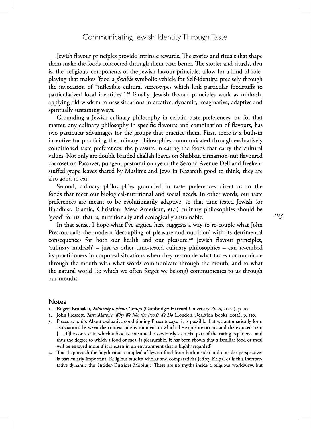Jewish flavour principles provide intrinsic rewards. The stories and rituals that shape them make the foods concocted through them taste better. The stories and rituals, that is, the 'religious' components of the Jewish flavour principles allow for a kind of role playing that makes 'food a *flexible* symbolic vehicle for Self-identity, precisely through the invocation of "inflexible cultural stereotypes which link particular foodstuffs to particularized local identities"'.<sup>19</sup> Finally, Jewish flavour principles work as midrash, applying old wisdom to new situations in creative, dynamic, imaginative, adaptive and spiritually sustaining ways.

Grounding a Jewish culinary philosophy in certain taste preferences, or, for that matter, any culinary philosophy in specific flavours and combination of flavours, has two particular advantages for the groups that practice them. First, there is a built-in incentive for practicing the culinary philosophies communicated through evaluatively conditioned taste preferences: the pleasure in eating the foods that carry the cultural values. Not only are double braided challah loaves on Shabbat, cinnamon-nut flavoured charoset on Passover, pungent pastrami on rye at the Second Avenue Deli and freekeh stuffed grape leaves shared by Muslims and Jews in Nazareth good to think, they are also good to eat!

Second, culinary philosophies grounded in taste preferences direct us to the foods that meet our biological-nutritional and social needs. In other words, our taste preferences are meant to be evolutionarily adaptive, so that time-tested Jewish (or Buddhist, Islamic, Christian, Meso-American, etc.) culinary philosophies should be 'good' for us, that is, nutritionally and ecologically sustainable.

In that sense, I hope what I've argued here suggests a way to re-couple what John Prescott calls the modern 'decoupling of pleasure and nutrition' with its detrimental consequences for both our health and our pleasure.20 Jewish flavour principles, 'culinary midrash' – just as other time-tested culinary philosophies – can re-embed its practitioners in corporeal situations when they re-couple what tastes communicate through the mouth with what words communicate through the mouth, and to what the natural world (to which we often forget we belong) communicates to us through our mouths.

#### **Notes**

- 1. Rogers Brubaker, Ethnicity without Groups (Cambridge: Harvard University Press, 2004), p. 10.
- 2. John Prescott, Taste Matters: Why We like the Foods We Do (London: Reaktion Books, 2012), p. 150.
- 3. Prescott, p. 69. About evaluative conditioning Prescott says, 'it is possible that we automatically form associations between the context or environment in which the exposure occurs and the exposed item [….T]he context in which a food is consumed is obviously a crucial part of the eating experience and thus the degree to which a food or meal is pleasurable. It has been shown that a familiar food or meal will be enjoyed more if it is eaten in an environment that is highly regarded'.
- 4. That <sup>I</sup> approach the 'myth-ritual complex' of Jewish food from both insider and outsider perspectives is particularly important. Religious studies scholar and comparativist Jeffrey Kripal calls this interpre tative dynamic the 'Insider-Outsider Möbius': 'There are no myths inside a religious worldview, but

103